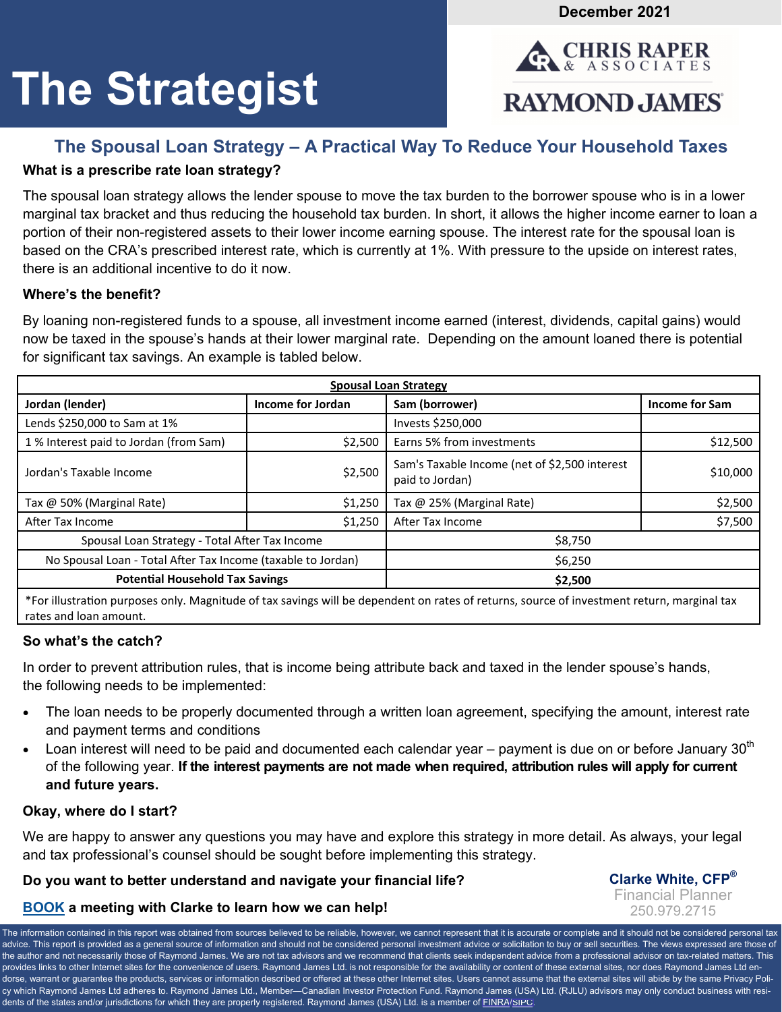**December 2021** 

**RAYMOND JAMES** 

**CHRIS RAPER ASSOCIATES** 

# **The Strategist**

# **The Spousal Loan Strategy – A Practical Way To Reduce Your Household Taxes**

# **What is a prescribe rate loan strategy?**

The spousal loan strategy allows the lender spouse to move the tax burden to the borrower spouse who is in a lower marginal tax bracket and thus reducing the household tax burden. In short, it allows the higher income earner to loan a portion of their non-registered assets to their lower income earning spouse. The interest rate for the spousal loan is based on the CRA's prescribed interest rate, which is currently at 1%. With pressure to the upside on interest rates, there is an additional incentive to do it now.

#### **Where's the benefit?**

By loaning non-registered funds to a spouse, all investment income earned (interest, dividends, capital gains) would now be taxed in the spouse's hands at their lower marginal rate. Depending on the amount loaned there is potential for significant tax savings. An example is tabled below.

| <b>Spousal Loan Strategy</b>                                                                                                       |                   |                                                                  |                |
|------------------------------------------------------------------------------------------------------------------------------------|-------------------|------------------------------------------------------------------|----------------|
| Jordan (lender)                                                                                                                    | Income for Jordan | Sam (borrower)                                                   | Income for Sam |
| Lends \$250,000 to Sam at 1%                                                                                                       |                   | Invests \$250,000                                                |                |
| 1% Interest paid to Jordan (from Sam)                                                                                              | \$2,500           | Earns 5% from investments                                        | \$12,500       |
| Jordan's Taxable Income                                                                                                            | \$2,500           | Sam's Taxable Income (net of \$2,500 interest<br>paid to Jordan) | \$10,000       |
| Tax @ 50% (Marginal Rate)                                                                                                          | \$1,250           | Tax @ 25% (Marginal Rate)                                        | \$2,500        |
| After Tax Income                                                                                                                   | \$1,250           | After Tax Income                                                 | \$7,500        |
| Spousal Loan Strategy - Total After Tax Income                                                                                     |                   | \$8,750                                                          |                |
| No Spousal Loan - Total After Tax Income (taxable to Jordan)                                                                       |                   | \$6,250                                                          |                |
| <b>Potential Household Tax Savings</b>                                                                                             |                   | \$2,500                                                          |                |
| *Easillectuation permanent orbeited of top contage will be dependent on mine of minimo or como of incompaning minimo monotoged top |                   |                                                                  |                |

\*For illustraƟon purposes only. Magnitude of tax savings will be dependent on rates of returns, source of investment return, marginal tax rates and loan amount.

### **So what's the catch?**

In order to prevent attribution rules, that is income being attribute back and taxed in the lender spouse's hands, the following needs to be implemented:

- The loan needs to be properly documented through a written loan agreement, specifying the amount, interest rate and payment terms and conditions
- Loan interest will need to be paid and documented each calendar year payment is due on or before January 30<sup>th</sup> of the following year. **If the interest payments are not made when required, attribution rules will apply for current and future years.**

#### **Okay, where do I start?**

We are happy to answer any questions you may have and explore this strategy in more detail. As always, your legal and tax professional's counsel should be sought before implementing this strategy.

### **Do you want to better understand and navigate your financial life?**

**Clarke White, CFP®** Financial Planner 250.979.2715

# **[BOOK](https://outlook.office365.com/owa/calendar/ChrisRaperAssociates@raymondjamesprod.onmicrosoft.com/bookings/) a meeting with Clarke to learn how we can help!**

The information contained in this report was obtained from sources believed to be reliable, however, we cannot represent that it is accurate or complete and it should not be considered personal tax advice. This report is provided as a general source of information and should not be considered personal investment advice or solicitation to buy or sell securities. The views expressed are those of the author and not necessarily those of Raymond James. We are not tax advisors and we recommend that clients seek independent advice from a professional advisor on tax-related matters. This provides links to other Internet sites for the convenience of users. Raymond James Ltd. is not responsible for the availability or content of these external sites, nor does Raymond James Ltd endorse, warrant or guarantee the products, services or information described or offered at these other Internet sites. Users cannot assume that the external sites will abide by the same Privacy Policy which Raymond James Ltd adheres to. Raymond James Ltd., Member—Canadian Investor Protection Fund. Raymond James (USA) Ltd. (RJLU) advisors may only conduct business with resi-dents of the states and/or jurisdictions for which they are properly registered. Raymond James (USA) Ltd. is a member of [FINRA](https://www.finra.org/#/)[/SIPC](https://www.sipc.org/).